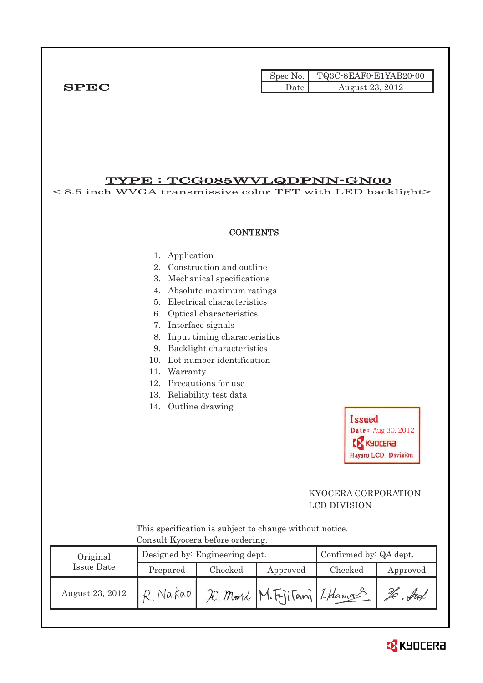Spec No. TQ3C-8EAF0-E1YAB20-00  $SPEC$  Date  $\qquad \qquad$  Date  $\qquad \qquad$  August 23, 2012

# TYPE : TCG085WVLQDPNN-GN00

< 8.5 inch WVGA transmissive color TFT with LED backlight>

#### **CONTENTS**

- 1. Application
- 2. Construction and outline
- 3. Mechanical specifications
- 4. Absolute maximum ratings
- 5. Electrical characteristics
- 6. Optical characteristics
- 7. Interface signals
- 8. Input timing characteristics
- 9. Backlight characteristics
- 10. Lot number identification
- 11. Warranty
- 12. Precautions for use
- 13. Reliability test data
- 14. Outline drawing

**Issued** Date: Aug 30, 2012 **EX KYDCERA Hayato LCD Division** 

## KYOCERA CORPORATION LCD DIVISION

 This specification is subject to change without notice. Consult Kyocera before ordering.

| Original        |          | Designed by: Engineering dept. | Confirmed by: QA dept.         |         |             |
|-----------------|----------|--------------------------------|--------------------------------|---------|-------------|
| Issue Date      | Prepared | Checked                        | Approved                       | Checked | Approved    |
| August 23, 2012 | Na kao   |                                | IC. Mori M. FijiTani L. Hamaus |         | $\sqrt{44}$ |

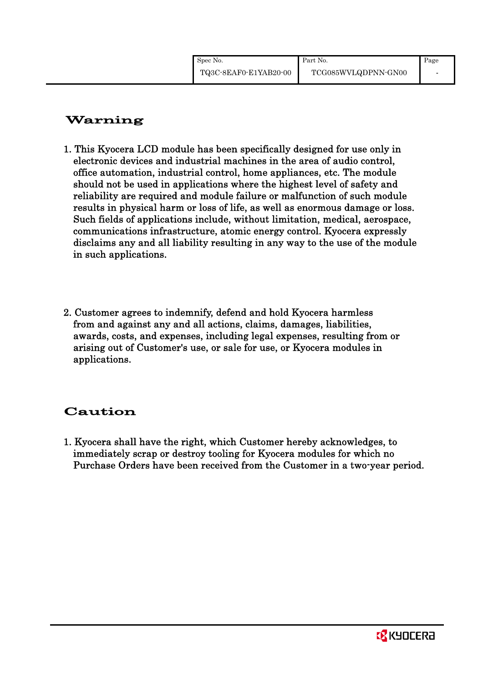# Warning

- 1. This Kyocera LCD module has been specifically designed for use only in electronic devices and industrial machines in the area of audio control, office automation, industrial control, home appliances, etc. The module should not be used in applications where the highest level of safety and reliability are required and module failure or malfunction of such module results in physical harm or loss of life, as well as enormous damage or loss. Such fields of applications include, without limitation, medical, aerospace, communications infrastructure, atomic energy control. Kyocera expressly disclaims any and all liability resulting in any way to the use of the module in such applications.
- 2. Customer agrees to indemnify, defend and hold Kyocera harmless from and against any and all actions, claims, damages, liabilities, awards, costs, and expenses, including legal expenses, resulting from or arising out of Customer's use, or sale for use, or Kyocera modules in applications.

# Caution

1. Kyocera shall have the right, which Customer hereby acknowledges, to immediately scrap or destroy tooling for Kyocera modules for which no Purchase Orders have been received from the Customer in a two-year period.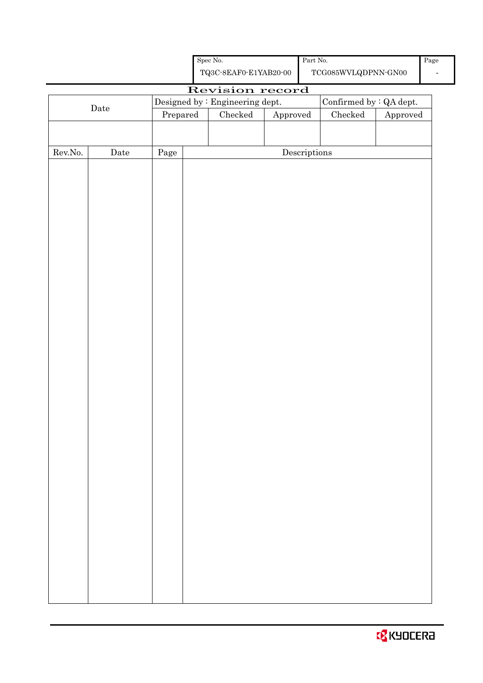| <b>B</b> KYOCERA |  |  |  |  |
|------------------|--|--|--|--|
|------------------|--|--|--|--|

Spec No.

Part No.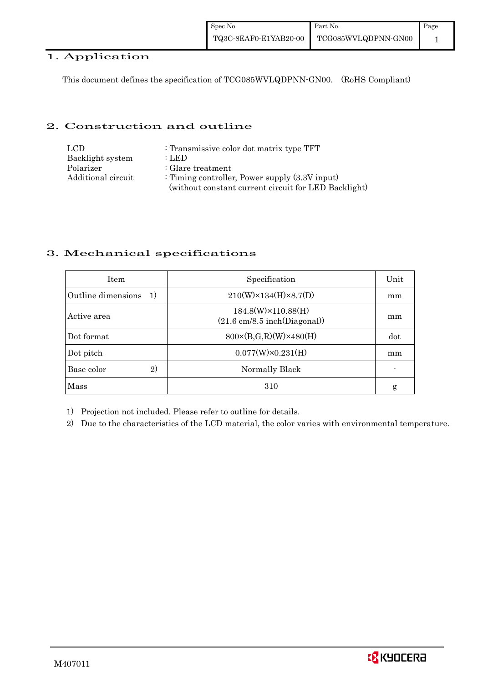### 1. Application

This document defines the specification of TCG085WVLQDPNN-GN00. (RoHS Compliant)

### 2. Construction and outline

| LCD.               | : Transmissive color dot matrix type TFT             |
|--------------------|------------------------------------------------------|
| Backlight system   | : LED                                                |
| Polarizer          | $\therefore$ Glare treatment                         |
| Additional circuit | : Timing controller, Power supply $(3.3V)$ input)    |
|                    | (without constant current circuit for LED Backlight) |

## 3. Mechanical specifications

| <b>Item</b>                           | Specification                                                               | Unit |
|---------------------------------------|-----------------------------------------------------------------------------|------|
| Outline dimensions<br><sup>-</sup> 1) | $210(W)\times 134(H)\times 8.7(D)$                                          | mm   |
| Active area                           | 184.8(W)×110.88(H)<br>$(21.6 \text{ cm}/8.5 \text{ inch}(\text{Diagonal}))$ | mm   |
| Dot format                            | $800 \times (B,G,R)(W) \times 480(H)$                                       | dot  |
| Dot pitch                             | $0.077(W)\times0.231(H)$                                                    | mm   |
| Base color<br>2)                      | Normally Black                                                              |      |
| Mass                                  | 310                                                                         | g    |

1) Projection not included. Please refer to outline for details.

2) Due to the characteristics of the LCD material, the color varies with environmental temperature.

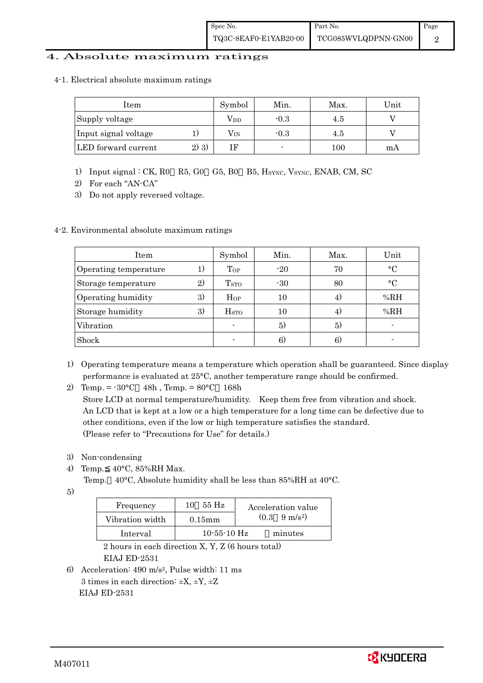#### 4. Absolute maximum ratings

4-1. Electrical absolute maximum ratings

| Item                 |         | Symbol       | Min.   | Max. | Unit |
|----------------------|---------|--------------|--------|------|------|
| Supply voltage       |         | $\rm V_{DD}$ | $-0.3$ | 4.5  |      |
| Input signal voltage |         | $\rm V_{IN}$ | $-0.3$ | 4.5  |      |
| LED forward current  | $2)$ 3) |              |        | 100  | mА   |

- 1) Input signal : CK, R0 R5, G0 G5, B0 B5, HSYNC, VSYNC, ENAB, CM, SC
- 2) For each "AN-CA"
- 3) Do not apply reversed voltage.

#### 4-2. Environmental absolute maximum ratings

| Item                  |        | Symbol             | Min.  | Max. | Unit      |
|-----------------------|--------|--------------------|-------|------|-----------|
| Operating temperature | $_{1}$ | $\Gamma$ OP        | $-20$ | 70   | $\circ$ C |
| Storage temperature   | 2)     | T <sub>STO</sub>   | $-30$ | 80   | $\circ$ C |
| Operating humidity    | 3)     | Hop                | 10    | 4)   | %RH       |
| Storage humidity      | 3)     | $_{\mathrm{HSTO}}$ | 10    | 4)   | %RH       |
| Vibration             |        |                    | 5)    | 5)   |           |
| Shock                 |        |                    | 6)    | 6)   |           |

- 1) Operating temperature means a temperature which operation shall be guaranteed. Since display performance is evaluated at 25°C, another temperature range should be confirmed.
- 2) Temp. =  $-30^{\circ}$ C 48h, Temp. =  $80^{\circ}$ C 168h

 Store LCD at normal temperature/humidity. Keep them free from vibration and shock. An LCD that is kept at a low or a high temperature for a long time can be defective due to other conditions, even if the low or high temperature satisfies the standard. (Please refer to "Precautions for Use" for details.)

- 3) Non-condensing
- 4) Temp. 40°C, 85%RH Max.
	- Temp. 40°C, Absolute humidity shall be less than 85%RH at 40°C.
- 5)

| Frequency       | 55 H <sub>z</sub><br>10. | Acceleration value            |
|-----------------|--------------------------|-------------------------------|
| Vibration width | $0.15$ m m               | $(0.3 \quad 9 \text{ m/s}^2)$ |
| Interval        | $10 - 55 - 10$ Hz        | minutes                       |

 2 hours in each direction X, Y, Z (6 hours total) EIAJ ED-2531

6) Acceleration: 490 m/s2, Pulse width: 11 ms 3 times in each direction:  $\pm X$ ,  $\pm Y$ ,  $\pm Z$ EIAJ ED-2531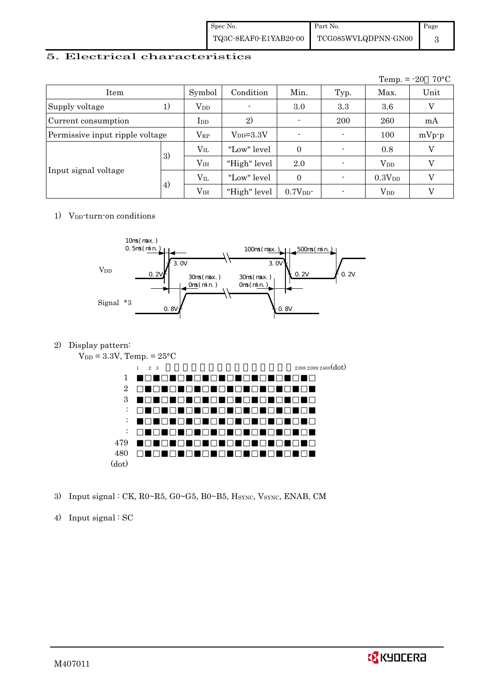| Spec No. | Part No.                                  | Page |
|----------|-------------------------------------------|------|
|          | TQ3C-8EAF0-E1YAB20-00 TCG085WVLQDPNN-GN00 |      |

#### 5. Electrical characteristics

|                                 |          |                 |                 |                    |                          | Temp. $= -20$      | $70^{\circ}$ C |
|---------------------------------|----------|-----------------|-----------------|--------------------|--------------------------|--------------------|----------------|
| Item                            |          | Symbol          | Condition       | Min.               | Typ.                     | Max.               | Unit           |
| Supply voltage                  | 1)       | $V_{DD}$        |                 | 3.0                | 3.3                      | 3.6                | V              |
| Current consumption             |          | $_{\rm{LDD}}$   | 2)              | $\blacksquare$     | 200                      | 260                | mA             |
| Permissive input ripple voltage |          | $V_{RP}$        | $V_{DD} = 3.3V$ |                    |                          | 100                | $mVp-p$        |
|                                 | 3)       | $V_{IL}$        | "Low" level     | $\overline{0}$     | $\blacksquare$           | 0.8                |                |
| Input signal voltage            |          | V <sub>IH</sub> | "High" level    | 2.0                | $\overline{\phantom{0}}$ | $V_{DD}$           |                |
|                                 | $V_{IL}$ |                 | "Low" level     | $\theta$           | ٠                        | 0.3V <sub>DD</sub> | V              |
|                                 | 4)       | V <sub>IH</sub> | "High" level    | 0.7V <sub>DD</sub> |                          | $V_{DD}$           |                |

#### 1)  $V_{DD}$ -turn-on conditions



#### 2) Display pattern:



3) Input signal : CK, R0~R5, G0~G5, B0~B5, HSYNC, VSYNC, ENAB, CM

#### 4) Input signal : SC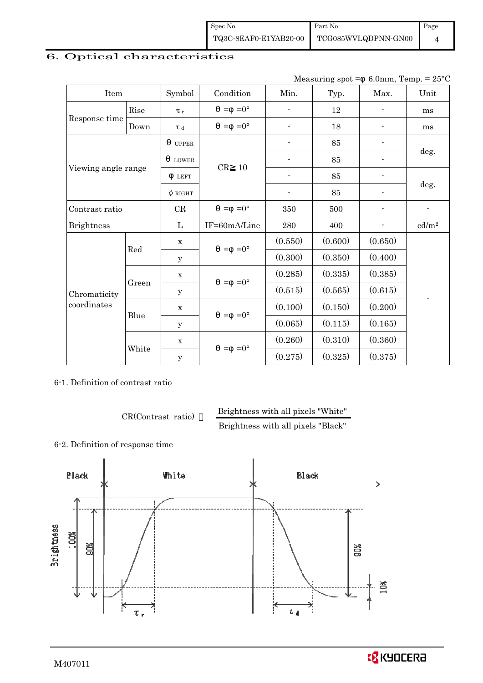| Spec No. | Part No.                                  | Page |
|----------|-------------------------------------------|------|
|          | TQ3C-8EAF0-E1YAB20-00 TCG085WVLQDPNN-GN00 |      |

# 6. Optical characteristics

Measuring spot =  $6.0$ mm, Temp. =  $25^{\circ}$ C

| Item                |       | Symbol       | Condition           | Min.                     | Typ.    | Max.                     | Unit              |
|---------------------|-------|--------------|---------------------|--------------------------|---------|--------------------------|-------------------|
|                     | Rise  | $\tau_r$     | $=0^{\circ}$<br>$=$ |                          | 12      |                          | ms                |
| Response time       | Down  | T d          | $=0^{\circ}$<br>$=$ | ۰                        | 18      |                          | ms                |
|                     |       | <b>UPPER</b> |                     |                          | 85      |                          |                   |
|                     |       | <b>LOWER</b> | CR<br>10            |                          | 85      |                          | deg.              |
| Viewing angle range |       | <b>LEFT</b>  |                     | $\overline{\phantom{a}}$ | 85      | $\overline{\phantom{a}}$ |                   |
|                     |       | $\phi$ RIGHT |                     | $\overline{\phantom{a}}$ | 85      | $\overline{\phantom{0}}$ | deg.              |
| Contrast ratio      |       | CR           | $=0^{\circ}$<br>$=$ | 350                      | 500     |                          |                   |
| <b>Brightness</b>   |       | L            | IF=60mA/Line        | 280                      | 400     |                          | cd/m <sup>2</sup> |
|                     | Red   | $\mathbf x$  | $=$ =0 $^{\circ}$   | (0.550)                  | (0.600) | (0.650)                  |                   |
|                     |       | У            |                     | (0.300)                  | (0.350) | (0.400)                  |                   |
|                     |       | $\mathbf X$  | $=0^{\circ}$<br>$=$ | (0.285)                  | (0.335) | (0.385)                  |                   |
| Chromaticity        | Green | у            |                     | (0.515)                  | (0.565) | (0.615)                  |                   |
| coordinates         | Blue  | $\mathbf X$  | $=0^{\circ}$<br>$=$ | (0.100)                  | (0.150) | (0.200)                  |                   |
|                     |       | у            |                     | (0.065)                  | (0.115) | (0.165)                  |                   |
|                     |       | $\mathbf X$  | $=0^{\circ}$<br>$=$ | (0.260)                  | (0.310) | (0.360)                  |                   |
|                     | White | $\mathbf y$  |                     | (0.275)                  | (0.325) | (0.375)                  |                   |

6-1. Definition of contrast ratio

CR(Contrast ratio) Brightness with all pixels "White"

Brightness with all pixels "Black"

6-2. Definition of response time

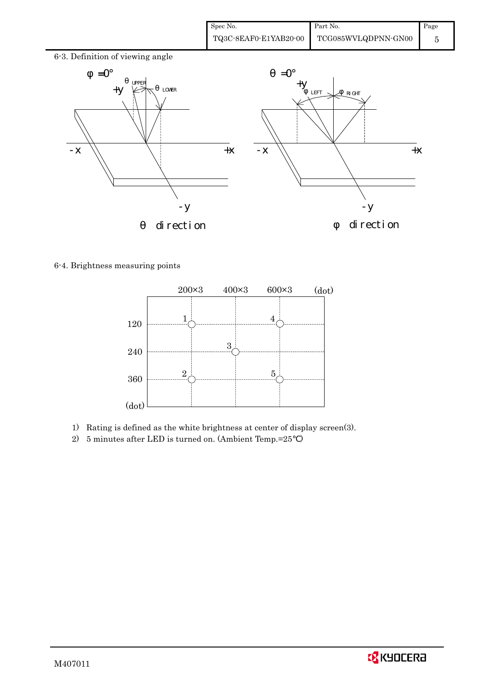| Spec No.              | Part No.            | Page |
|-----------------------|---------------------|------|
| TQ3C-8EAF0-E1YAB20-00 | TCG085WVLQDPNN-GN00 |      |



6-4. Brightness measuring points



- 1) Rating is defined as the white brightness at center of display screen(3).
- 2) 5 minutes after LED is turned on. (Ambient Temp.=25 )

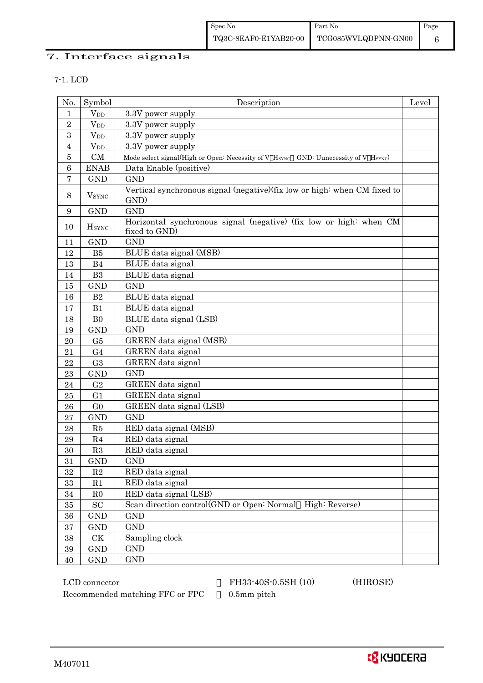# 7. Interface signals

#### 7-1. LCD

| No.        | Symbol                   | Description                                                                         | Level |
|------------|--------------------------|-------------------------------------------------------------------------------------|-------|
| 1          | $V_{DD}$                 | 3.3V power supply                                                                   |       |
| $\,2$      | $V_{DD}$                 | 3.3V power supply                                                                   |       |
| 3          | $V_{DD}$                 | 3.3V power supply                                                                   |       |
| 4          | $V_{DD}$                 | 3.3V power supply                                                                   |       |
| $\bf 5$    | CM                       | Mode select signal(High or Open: Necessity of V HSYNC GND: Uunecessity of V HSYNC)  |       |
| $\,6$      | <b>ENAB</b>              | Data Enable (positive)                                                              |       |
| 7          | <b>GND</b>               | <b>GND</b>                                                                          |       |
| $8\,$      | $V_{\rm SYNC}$           | Vertical synchronous signal (negative) (fix low or high: when CM fixed to<br>GND)   |       |
| 9          | <b>GND</b>               | <b>GND</b>                                                                          |       |
| 10         | <b>H</b> <sub>SYNC</sub> | Horizontal synchronous signal (negative) (fix low or high: when CM<br>fixed to GND) |       |
| 11         | <b>GND</b>               | <b>GND</b>                                                                          |       |
| 12         | B5                       | BLUE data signal (MSB)                                                              |       |
| 13         | B <sub>4</sub>           | BLUE data signal                                                                    |       |
| $14\,$     | B <sub>3</sub>           | BLUE data signal                                                                    |       |
| 15         | <b>GND</b>               | <b>GND</b>                                                                          |       |
| 16         | $\mathbf{B}2$            | BLUE data signal                                                                    |       |
| 17         | B1                       | BLUE data signal                                                                    |       |
| 18         | B <sub>0</sub>           | BLUE data signal (LSB)                                                              |       |
| 19         | <b>GND</b>               | <b>GND</b>                                                                          |       |
| 20         | G5                       | GREEN data signal (MSB)                                                             |       |
| 21         | G <sub>4</sub>           | GREEN data signal                                                                   |       |
| $\bf 22$   | G <sub>3</sub>           | GREEN data signal                                                                   |       |
| 23         | <b>GND</b>               | <b>GND</b>                                                                          |       |
| 24         | G <sub>2</sub>           | GREEN data signal                                                                   |       |
| 25         | G <sub>1</sub>           | GREEN data signal                                                                   |       |
| 26         | G <sub>0</sub>           | GREEN data signal (LSB)                                                             |       |
| 27         | <b>GND</b>               | <b>GND</b>                                                                          |       |
| ${\bf 28}$ | R5                       | RED data signal (MSB)                                                               |       |
| 29         | R <sub>4</sub>           | RED data signal                                                                     |       |
| 30         | R3                       | RED data signal                                                                     |       |
| 31         | <b>GND</b>               | GND                                                                                 |       |
| $32\,$     | $\mathbf{R}2$            | RED data signal                                                                     |       |
| 33         | R1                       | RED data signal                                                                     |       |
| $34\,$     | $_{\rm R0}$              | RED data signal (LSB)                                                               |       |
| $35\,$     | SC                       | Scan direction control(GND or Open: Normal High: Reverse)                           |       |
| $36\,$     | <b>GND</b>               | <b>GND</b>                                                                          |       |
| $\bf{37}$  | <b>GND</b>               | <b>GND</b>                                                                          |       |
| $38\,$     | CK                       | Sampling clock                                                                      |       |
| 39         | <b>GND</b>               | <b>GND</b>                                                                          |       |
| 40         | <b>GND</b>               | <b>GND</b>                                                                          |       |

Recommended matching FFC or FPC 0.5mm pitch

LCD connector FH33-40S-0.5SH (10) (HIROSE)

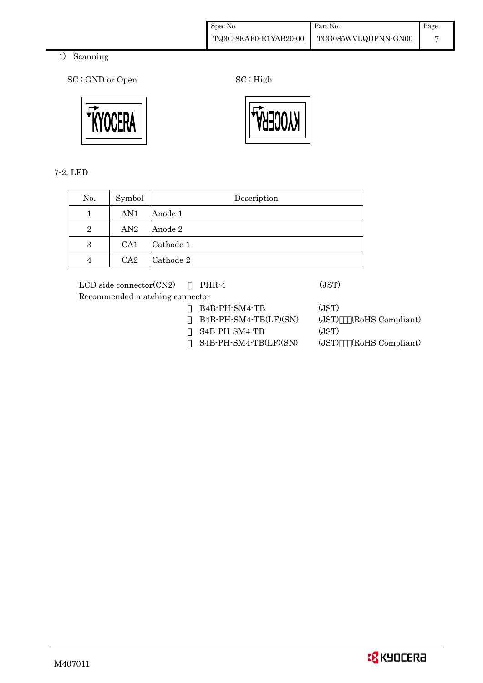| Spec No.              | Part No.            | Page |
|-----------------------|---------------------|------|
| TQ3C-8EAF0-E1YAB20-00 | TCG085WVLQDPNN-GN00 |      |

- 1) Scanning
	- SC : GND or Open SC : High



7-2. LED

| No.            | Symbol          | Description |
|----------------|-----------------|-------------|
|                | AN1             | Anode 1     |
| $\overline{2}$ | AN2             | Anode 2     |
| 3              | CA <sub>1</sub> | Cathode 1   |
| 4              | CA <sub>2</sub> | Cathode 2   |

LCD side connector(CN2) PHR-4 (JST) Recommended matching connector

 B4B-PH-SM4-TB (JST) B4B-PH-SM4-TB(LF)(SN) (JST) (RoHS Compliant) S4B-PH-SM4-TB (JST) S4B-PH-SM4-TB(LF)(SN) (JST) (RoHS Compliant)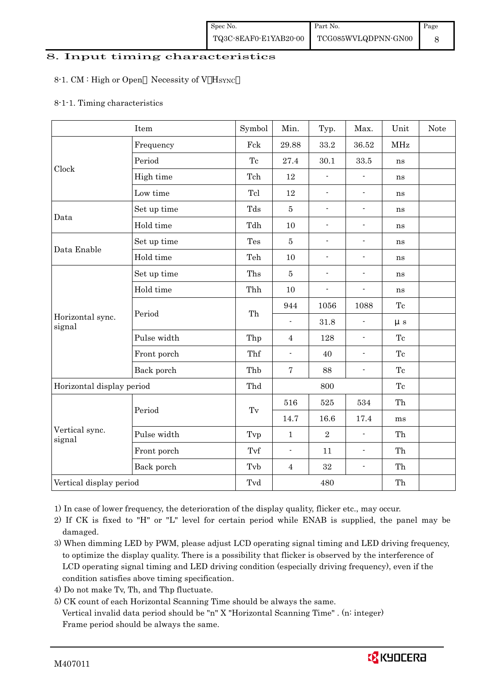# 8. Input timing characteristics  $\overline{\phantom{a}}$

#### 8-1. CM : High or Open Necessity of V HSYNC

#### 8-1-1. Timing characteristics

|                            | Item        | Symbol              | Min.                     | Typ.                     | Max.                     | Unit       | <b>Note</b> |
|----------------------------|-------------|---------------------|--------------------------|--------------------------|--------------------------|------------|-------------|
|                            | Frequency   | Fck                 | 29.88                    | 33.2                     | $36.52\,$                | <b>MHz</b> |             |
|                            | Period      | Tc                  | 27.4                     | 30.1                     | 33.5                     | ns         |             |
| Clock                      | High time   | Tch                 | $12\,$                   | $\blacksquare$           | $\blacksquare$           | ns         |             |
|                            | Low time    | Tcl                 | 12                       | $\blacksquare$           | ÷,                       | ns         |             |
|                            | Set up time | Tds                 | $\bf 5$                  | $\overline{\phantom{a}}$ | $\overline{\phantom{a}}$ | ns         |             |
| Data                       | Hold time   | Tdh                 | $10\,$                   | $\blacksquare$           | $\overline{\phantom{a}}$ | ns         |             |
|                            | Set up time | Tes                 | $\bf 5$                  | $\blacksquare$           | $\overline{\phantom{a}}$ | ns         |             |
| Data Enable                | Hold time   | Teh                 | $10\,$                   | $\blacksquare$           | $\blacksquare$           | ns         |             |
|                            | Set up time | Ths                 | $\bf 5$                  | $\overline{\phantom{a}}$ | $\overline{\phantom{0}}$ | ns         |             |
|                            | Hold time   | Thh                 | 10                       | $\overline{\phantom{a}}$ | $\overline{\phantom{a}}$ | ns         |             |
|                            | Period      | Th                  | 944                      | 1056                     | 1088                     | Tc         |             |
| Horizontal sync.<br>signal |             |                     | $\overline{\phantom{a}}$ | 31.8                     | $\frac{1}{2}$            | $\mu$ s    |             |
|                            | Pulse width | Thp                 | $\overline{4}$           | 128                      | $\blacksquare$           | Tc         |             |
|                            | Front porch | Thf                 | $\overline{\phantom{a}}$ | 40                       | ÷,                       | Tc         |             |
|                            | Back porch  | Thb                 | $\overline{7}$           | 88                       | $\overline{\phantom{a}}$ | Tc         |             |
| Horizontal display period  |             | Thd                 | 800                      |                          |                          | Tc         |             |
|                            |             |                     | 516                      | 525                      | 534                      | Th         |             |
|                            | Period      | $\operatorname{Tv}$ | 14.7                     | 16.6                     | 17.4                     | ms         |             |
| Vertical sync.<br>signal   | Pulse width | Tvp                 | $\mathbf{1}$             | $\sqrt{2}$               | $\blacksquare$           | Th         |             |
|                            | Front porch | Tvf                 | $\blacksquare$           | 11                       | $\overline{\phantom{a}}$ | Th         |             |
|                            | Back porch  | Tvb                 | $\overline{4}$           | $32\,$                   | $\overline{\phantom{a}}$ | Th         |             |
| Vertical display period    |             | Tvd                 |                          | 480                      |                          | Th         |             |

1) In case of lower frequency, the deterioration of the display quality, flicker etc., may occur.

 2) If CK is fixed to "H" or "L" level for certain period while ENAB is supplied, the panel may be damaged.

3) When dimming LED by PWM, please adjust LCD operating signal timing and LED driving frequency, to optimize the display quality. There is a possibility that flicker is observed by the interference of LCD operating signal timing and LED driving condition (especially driving frequency), even if the condition satisfies above timing specification.

- 4) Do not make Tv, Th, and Thp fluctuate.
- 5) CK count of each Horizontal Scanning Time should be always the same. Vertical invalid data period should be "n" X "Horizontal Scanning Time" . (n: integer) Frame period should be always the same.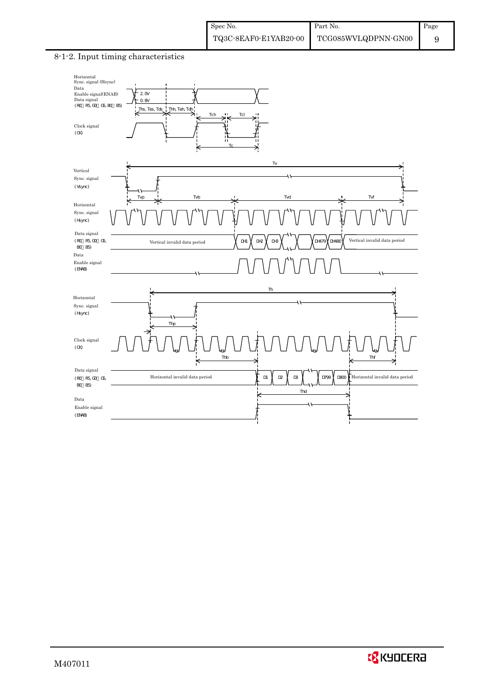#### 8-1-2. Input timing characteristics



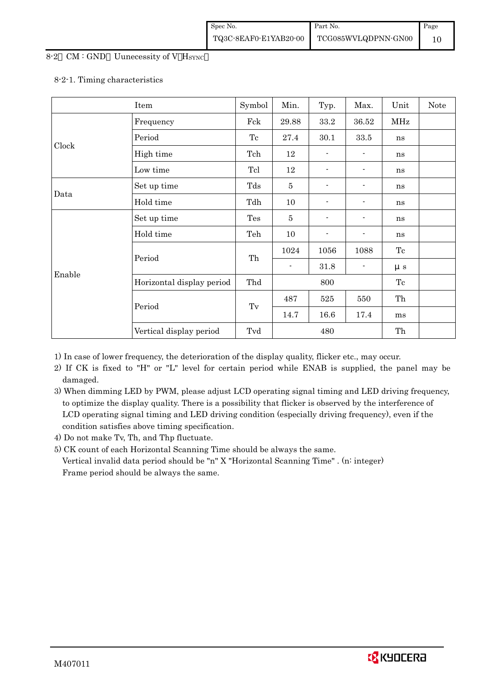#### 8-2 CM : GND Uunecessity of V HSYNC

#### 8-2-1. Timing characteristics

|        | Item                      | Symbol              | Min.           | Typ. | Max.     | Unit    | Note |
|--------|---------------------------|---------------------|----------------|------|----------|---------|------|
|        | Frequency                 | Fck                 | 29.88          | 33.2 | 36.52    | MHz     |      |
|        | Period                    | Tc                  | 27.4           | 30.1 | $33.5\,$ | ns      |      |
| Clock  | High time                 | Tch                 | 12             |      |          | ns      |      |
|        | Low time                  | Tcl                 | 12             | -    |          | ns      |      |
|        | Set up time               | Tds                 | $\bf 5$        |      |          | ns      |      |
| Data   | Hold time                 | Tdh                 | 10             | -    |          | ns      |      |
|        | Set up time               | Tes                 | $\bf 5$        |      |          | ns      |      |
|        | Hold time                 | Teh                 | 10             | -    |          | ns      |      |
|        |                           |                     | 1024           | 1056 | 1088     | Tc      |      |
|        | Period                    | Th                  | $\blacksquare$ | 31.8 |          | $\mu s$ |      |
| Enable | Horizontal display period | Thd                 |                | 800  |          | Tc      |      |
|        |                           |                     | 487            | 525  | 550      | Th      |      |
|        | Period                    | $\operatorname{Tv}$ | 14.7           | 16.6 | 17.4     | ms      |      |
|        | Vertical display period   | Tvd                 |                | 480  |          | Th      |      |

1) In case of lower frequency, the deterioration of the display quality, flicker etc., may occur.

- 2) If CK is fixed to "H" or "L" level for certain period while ENAB is supplied, the panel may be damaged.
- 3) When dimming LED by PWM, please adjust LCD operating signal timing and LED driving frequency, to optimize the display quality. There is a possibility that flicker is observed by the interference of LCD operating signal timing and LED driving condition (especially driving frequency), even if the condition satisfies above timing specification.
- 4) Do not make Tv, Th, and Thp fluctuate.
- 5) CK count of each Horizontal Scanning Time should be always the same.

 Vertical invalid data period should be "n" X "Horizontal Scanning Time" . (n: integer) Frame period should be always the same.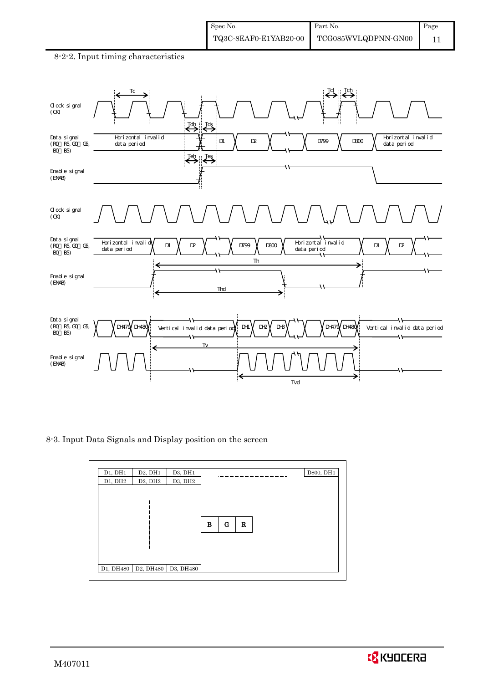#### 8-2-2. Input timing characteristics



8-3. Input Data Signals and Display position on the screen

| D1, DH2<br>D <sub>2</sub> , DH <sub>2</sub><br>D3, DH2 |  |
|--------------------------------------------------------|--|
|                                                        |  |
| $\mathbf G$<br>B<br>$\mathbf R$                        |  |
| D1, DH480   D2, DH480   D3, DH480                      |  |

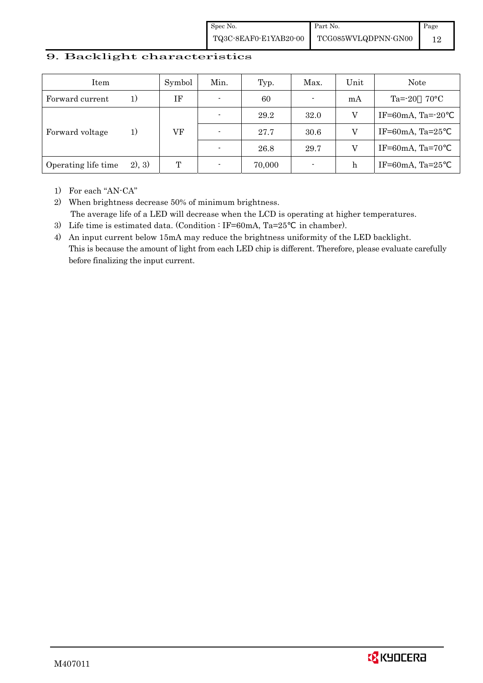Spec No. TQ3C-8EAF0-E1YAB20-00 Part No. TCG085WVLQDPNN-GN00 Page 12

#### 9. Backlight characteristics

| Item                |        | Symbol | Min.                     | Typ.   | Max.                     | Unit | Note                        |
|---------------------|--------|--------|--------------------------|--------|--------------------------|------|-----------------------------|
| Forward current     | 1)     | IF     | $\overline{\phantom{0}}$ | 60     | ٠                        | mA   | $Ta = 20$<br>$70^{\circ}$ C |
|                     |        |        |                          | 29.2   | 32.0                     | V    | IF=60mA, Ta= $-20$          |
| Forward voltage     | 1)     | VF     | $\overline{\phantom{0}}$ | 27.7   | 30.6                     |      | IF=60mA, Ta= $25$           |
|                     |        |        |                          | 26.8   | 29.7                     |      | IF=60mA, Ta=70              |
| Operating life time | 2), 3) | T      |                          | 70,000 | $\overline{\phantom{a}}$ | h    | IF=60mA, Ta= $25$           |

1) For each "AN-CA"

2) When brightness decrease 50% of minimum brightness. The average life of a LED will decrease when the LCD is operating at higher temperatures.

- 3) Life time is estimated data. (Condition : IF=60mA, Ta=25 in chamber).
- 4) An input current below 15mA may reduce the brightness uniformity of the LED backlight. This is because the amount of light from each LED chip is different. Therefore, please evaluate carefully before finalizing the input current.

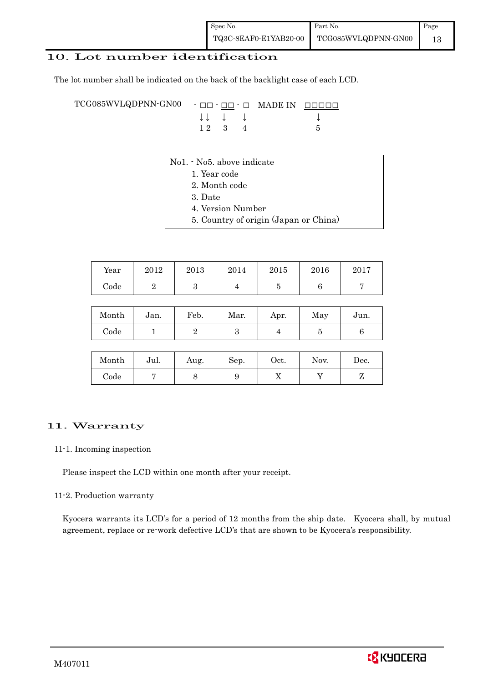### 10. Lot number identification

The lot number shall be indicated on the back of the backlight case of each LCD.

TCG085WVLQDPNN-GN00 - □□ - □□ - □ MADE IN □□□□□ ↓ ↓ ↓ ↓ ↓  $12 \quad 3 \quad 4$  5

- No1. No5. above indicate
	- 1. Year code
		- 2. Month code
		- 3. Date
		- 4. Version Number
		- 5. Country of origin (Japan or China)

| Year | 2012 | 2013 | 2014 | 2015 | 2016 | 2017 |
|------|------|------|------|------|------|------|
| Code |      | ບ    |      |      |      |      |

| Month | Jan. | Feb. | Mar. | Apr. | May | Jun. |
|-------|------|------|------|------|-----|------|
| Code  |      |      |      |      |     |      |

| Month      | Jul. | Aug. | Sep. | Oct. | Nov. | Dec. |
|------------|------|------|------|------|------|------|
| $\rm Code$ |      |      |      | ∡⊾   |      |      |

#### 11. Warranty

#### 11-1. Incoming inspection

Please inspect the LCD within one month after your receipt.

#### 11-2. Production warranty

 Kyocera warrants its LCD's for a period of 12 months from the ship date. Kyocera shall, by mutual agreement, replace or re-work defective LCD's that are shown to be Kyocera's responsibility.

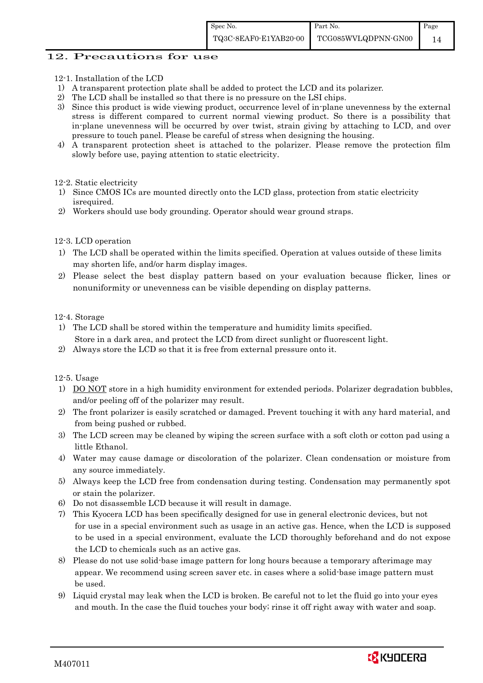#### 12. Precautions for use

- 12-1. Installation of the LCD
- 1) A transparent protection plate shall be added to protect the LCD and its polarizer.
- 2) The LCD shall be installed so that there is no pressure on the LSI chips.
- 3) Since this product is wide viewing product, occurrence level of in-plane unevenness by the external stress is different compared to current normal viewing product. So there is a possibility that in-plane unevenness will be occurred by over twist, strain giving by attaching to LCD, and over pressure to touch panel. Please be careful of stress when designing the housing.
- 4) A transparent protection sheet is attached to the polarizer. Please remove the protection film slowly before use, paying attention to static electricity.
- 12-2. Static electricity
- 1) Since CMOS ICs are mounted directly onto the LCD glass, protection from static electricity isrequired.
- 2) Workers should use body grounding. Operator should wear ground straps.

#### 12-3. LCD operation

- 1) The LCD shall be operated within the limits specified. Operation at values outside of these limits may shorten life, and/or harm display images.
- 2) Please select the best display pattern based on your evaluation because flicker, lines or nonuniformity or unevenness can be visible depending on display patterns.

#### 12-4. Storage

- 1) The LCD shall be stored within the temperature and humidity limits specified. Store in a dark area, and protect the LCD from direct sunlight or fluorescent light.
- 2) Always store the LCD so that it is free from external pressure onto it.

12-5. Usage

- 1) DO NOT store in a high humidity environment for extended periods. Polarizer degradation bubbles, and/or peeling off of the polarizer may result.
- 2) The front polarizer is easily scratched or damaged. Prevent touching it with any hard material, and from being pushed or rubbed.
- 3) The LCD screen may be cleaned by wiping the screen surface with a soft cloth or cotton pad using a little Ethanol.
- 4) Water may cause damage or discoloration of the polarizer. Clean condensation or moisture from any source immediately.
- 5) Always keep the LCD free from condensation during testing. Condensation may permanently spot or stain the polarizer.
- 6) Do not disassemble LCD because it will result in damage.
- 7) This Kyocera LCD has been specifically designed for use in general electronic devices, but not for use in a special environment such as usage in an active gas. Hence, when the LCD is supposed to be used in a special environment, evaluate the LCD thoroughly beforehand and do not expose the LCD to chemicals such as an active gas.
- 8) Please do not use solid-base image pattern for long hours because a temporary afterimage may appear. We recommend using screen saver etc. in cases where a solid-base image pattern must be used.
- 9) Liquid crystal may leak when the LCD is broken. Be careful not to let the fluid go into your eyes and mouth. In the case the fluid touches your body; rinse it off right away with water and soap.

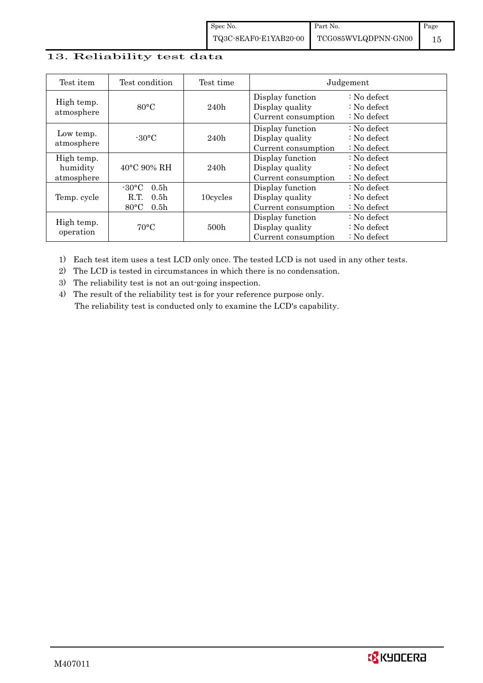# 13. Reliability test data

| Test item                            | Test condition                                                                                        | Test time | Judgement                                                  |                                                                            |  |
|--------------------------------------|-------------------------------------------------------------------------------------------------------|-----------|------------------------------------------------------------|----------------------------------------------------------------------------|--|
| High temp.<br>atmosphere             | $80^{\circ}$ C                                                                                        | 240h      | Display function<br>Display quality<br>Current consumption | $\therefore$ No defect<br>$\therefore$ No defect<br>$\therefore$ No defect |  |
| Low temp.<br>atmosphere              | $-30$ °C                                                                                              | 240h      | Display function<br>Display quality<br>Current consumption | $\therefore$ No defect<br>: No defect<br>$\therefore$ No defect            |  |
| High temp.<br>humidity<br>atmosphere | $40^{\circ}$ C 90% RH                                                                                 | 240h      | Display function<br>Display quality<br>Current consumption | : No defect<br>$\therefore$ No defect<br>$\therefore$ No defect            |  |
| Temp. cycle                          | $-30^{\circ}$ C<br>0.5 <sub>h</sub><br>0.5 <sub>h</sub><br>R.T.<br>$80^{\circ}$ C<br>0.5 <sub>h</sub> | 10cycles  | Display function<br>Display quality<br>Current consumption | $\therefore$ No defect<br>$\therefore$ No defect<br>$\therefore$ No defect |  |
| High temp.<br>operation              | $70^{\circ}$ C                                                                                        | 500h      | Display function<br>Display quality<br>Current consumption | : No defect<br>$\therefore$ No defect<br>$\therefore$ No defect            |  |

1) Each test item uses a test LCD only once. The tested LCD is not used in any other tests.

2) The LCD is tested in circumstances in which there is no condensation.

3) The reliability test is not an out-going inspection.

4) The result of the reliability test is for your reference purpose only. The reliability test is conducted only to examine the LCD's capability.

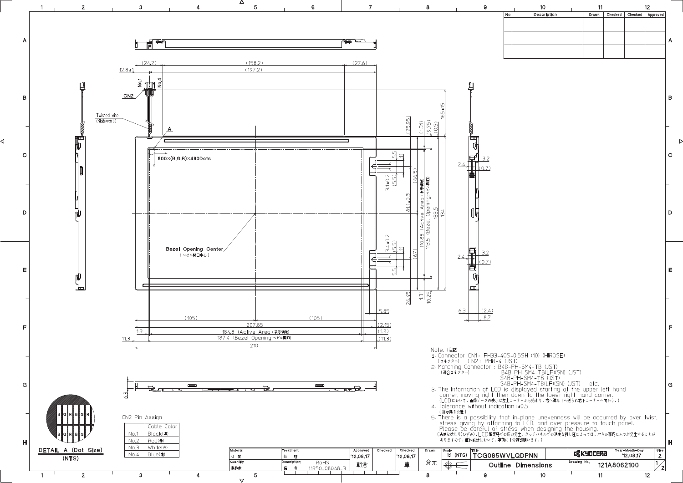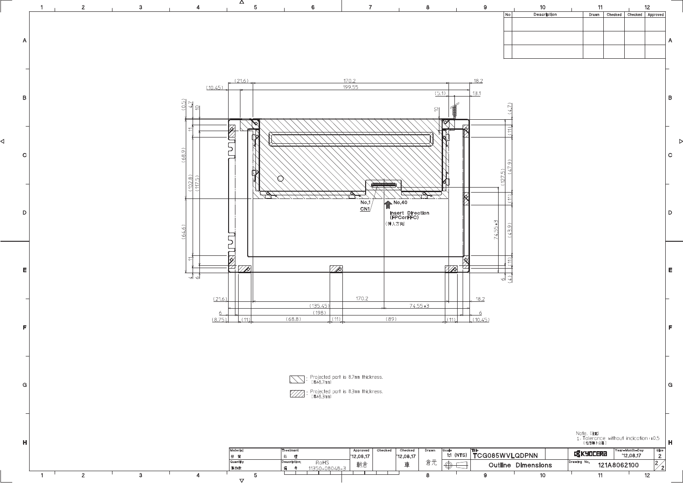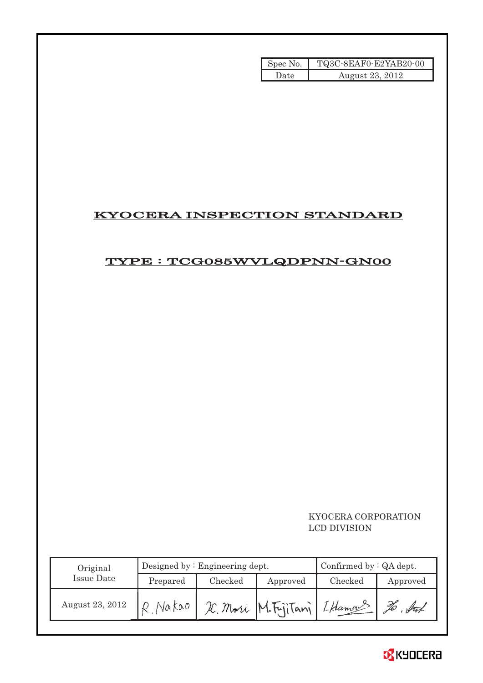| Spec No. | TQ3C-8EAF0-E2YAB20-00 |
|----------|-----------------------|
| Date     | August 23, 2012       |

# KYOCERA INSPECTION STANDARD

# TYPE : TCG085WVLQDPNN-GN00

## KYOCERA CORPORATION LCD DIVISION

| Original        |          | Designed by $:$ Engineering dept. | Confirmed by $:QA$ dept.   |         |          |
|-----------------|----------|-----------------------------------|----------------------------|---------|----------|
| Issue Date      | Prepared | Checked<br>Approved               |                            | Checked | Approved |
| August 23, 2012 |          |                                   | X. Mori M. Fijitani Lhaman |         | ful      |

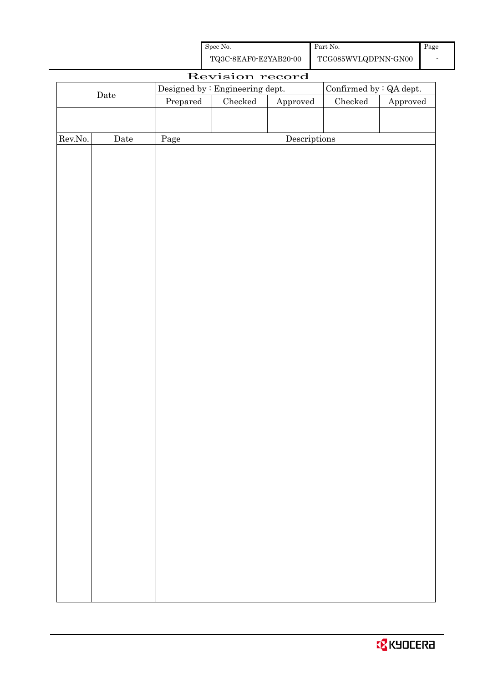| Spec No.              | Part No.            | Page |
|-----------------------|---------------------|------|
| TQ3C-8EAF0-E2YAB20-00 | TCG085WVLQDPNN-GN00 |      |

| Revision record |             |                                                             |  |  |              |  |          |  |
|-----------------|-------------|-------------------------------------------------------------|--|--|--------------|--|----------|--|
|                 |             | Confirmed by $:QA$ dept.<br>Designed by : Engineering dept. |  |  |              |  |          |  |
|                 | $\rm{Date}$ | $\rm Checked$<br>Checked<br>Prepared<br>Approved            |  |  |              |  | Approved |  |
|                 |             |                                                             |  |  |              |  |          |  |
|                 |             |                                                             |  |  |              |  |          |  |
| Rev.No.         | $\rm{Date}$ | Page                                                        |  |  | Descriptions |  |          |  |
|                 |             |                                                             |  |  |              |  |          |  |
|                 |             |                                                             |  |  |              |  |          |  |
|                 |             |                                                             |  |  |              |  |          |  |
|                 |             |                                                             |  |  |              |  |          |  |
|                 |             |                                                             |  |  |              |  |          |  |
|                 |             |                                                             |  |  |              |  |          |  |
|                 |             |                                                             |  |  |              |  |          |  |
|                 |             |                                                             |  |  |              |  |          |  |
|                 |             |                                                             |  |  |              |  |          |  |
|                 |             |                                                             |  |  |              |  |          |  |
|                 |             |                                                             |  |  |              |  |          |  |
|                 |             |                                                             |  |  |              |  |          |  |
|                 |             |                                                             |  |  |              |  |          |  |
|                 |             |                                                             |  |  |              |  |          |  |
|                 |             |                                                             |  |  |              |  |          |  |
|                 |             |                                                             |  |  |              |  |          |  |
|                 |             |                                                             |  |  |              |  |          |  |
|                 |             |                                                             |  |  |              |  |          |  |
|                 |             |                                                             |  |  |              |  |          |  |
|                 |             |                                                             |  |  |              |  |          |  |
|                 |             |                                                             |  |  |              |  |          |  |
|                 |             |                                                             |  |  |              |  |          |  |
|                 |             |                                                             |  |  |              |  |          |  |
|                 |             |                                                             |  |  |              |  |          |  |
|                 |             |                                                             |  |  |              |  |          |  |
|                 |             |                                                             |  |  |              |  |          |  |
|                 |             |                                                             |  |  |              |  |          |  |
|                 |             |                                                             |  |  |              |  |          |  |
|                 |             |                                                             |  |  |              |  |          |  |
|                 |             |                                                             |  |  |              |  |          |  |
|                 |             |                                                             |  |  |              |  |          |  |
|                 |             |                                                             |  |  |              |  |          |  |
|                 |             |                                                             |  |  |              |  |          |  |
|                 |             |                                                             |  |  |              |  |          |  |
|                 |             |                                                             |  |  |              |  |          |  |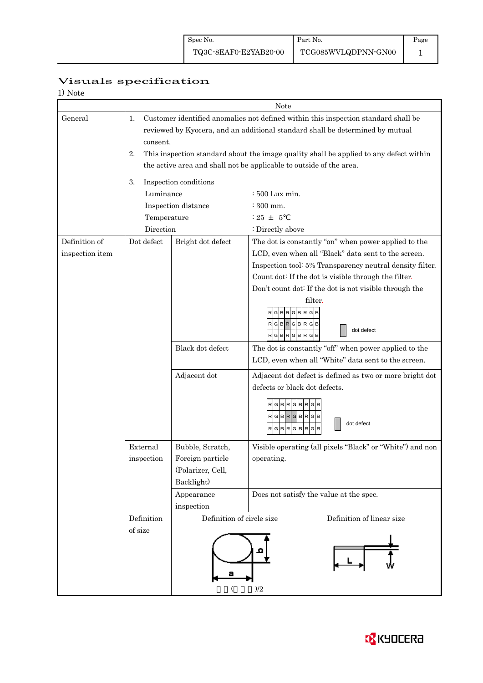Page 1

# Visuals specification

| 1) Note |
|---------|
|---------|

|                 | Note                                                                                                                                                                                  |                                                                                                                                                               |                                                                                                         |  |  |  |  |  |  |
|-----------------|---------------------------------------------------------------------------------------------------------------------------------------------------------------------------------------|---------------------------------------------------------------------------------------------------------------------------------------------------------------|---------------------------------------------------------------------------------------------------------|--|--|--|--|--|--|
| General         | Customer identified anomalies not defined within this inspection standard shall be<br>1.<br>reviewed by Kyocera, and an additional standard shall be determined by mutual<br>consent. |                                                                                                                                                               |                                                                                                         |  |  |  |  |  |  |
|                 | 2.                                                                                                                                                                                    | This inspection standard about the image quality shall be applied to any defect within<br>the active area and shall not be applicable to outside of the area. |                                                                                                         |  |  |  |  |  |  |
|                 |                                                                                                                                                                                       |                                                                                                                                                               |                                                                                                         |  |  |  |  |  |  |
|                 | 3.<br>Luminance                                                                                                                                                                       | Inspection conditions                                                                                                                                         |                                                                                                         |  |  |  |  |  |  |
|                 |                                                                                                                                                                                       |                                                                                                                                                               | : 500 Lux min.<br>$\div$ 300 mm.                                                                        |  |  |  |  |  |  |
|                 |                                                                                                                                                                                       | Inspection distance                                                                                                                                           | $: 25 + 5$                                                                                              |  |  |  |  |  |  |
|                 | Temperature<br>Direction                                                                                                                                                              |                                                                                                                                                               | : Directly above                                                                                        |  |  |  |  |  |  |
| Definition of   | Dot defect                                                                                                                                                                            | Bright dot defect                                                                                                                                             | The dot is constantly "on" when power applied to the                                                    |  |  |  |  |  |  |
| inspection item |                                                                                                                                                                                       |                                                                                                                                                               | LCD, even when all "Black" data sent to the screen.                                                     |  |  |  |  |  |  |
|                 |                                                                                                                                                                                       |                                                                                                                                                               | Inspection tool: 5% Transparency neutral density filter.                                                |  |  |  |  |  |  |
|                 |                                                                                                                                                                                       |                                                                                                                                                               | Count dot: If the dot is visible through the filter.                                                    |  |  |  |  |  |  |
|                 |                                                                                                                                                                                       |                                                                                                                                                               | Don't count dot: If the dot is not visible through the                                                  |  |  |  |  |  |  |
|                 |                                                                                                                                                                                       |                                                                                                                                                               | filter.                                                                                                 |  |  |  |  |  |  |
|                 |                                                                                                                                                                                       |                                                                                                                                                               | <b>BRGB</b><br>G<br>R G B<br>$\mathbf{p}$<br>R<br>G<br>в<br>G B<br>dot defect<br>R G B<br>R<br>BR.<br>G |  |  |  |  |  |  |
|                 |                                                                                                                                                                                       | Black dot defect                                                                                                                                              | The dot is constantly "off" when power applied to the                                                   |  |  |  |  |  |  |
|                 |                                                                                                                                                                                       |                                                                                                                                                               | LCD, even when all "White" data sent to the screen.                                                     |  |  |  |  |  |  |
|                 |                                                                                                                                                                                       | Adjacent dot                                                                                                                                                  | Adjacent dot defect is defined as two or more bright dot                                                |  |  |  |  |  |  |
|                 |                                                                                                                                                                                       |                                                                                                                                                               | defects or black dot defects.                                                                           |  |  |  |  |  |  |
|                 |                                                                                                                                                                                       |                                                                                                                                                               | G<br><b>BR</b><br>G B R<br>RGBRGBRGB<br>dot defect<br>G<br><b>BR</b><br>G<br>в<br>G<br>в                |  |  |  |  |  |  |
|                 | External                                                                                                                                                                              | Bubble, Scratch,                                                                                                                                              | Visible operating (all pixels "Black" or "White") and non                                               |  |  |  |  |  |  |
|                 | inspection                                                                                                                                                                            | Foreign particle                                                                                                                                              | operating.                                                                                              |  |  |  |  |  |  |
|                 |                                                                                                                                                                                       | (Polarizer, Cell,                                                                                                                                             |                                                                                                         |  |  |  |  |  |  |
|                 |                                                                                                                                                                                       | Backlight)                                                                                                                                                    |                                                                                                         |  |  |  |  |  |  |
|                 |                                                                                                                                                                                       | Appearance                                                                                                                                                    | Does not satisfy the value at the spec.                                                                 |  |  |  |  |  |  |
|                 |                                                                                                                                                                                       | inspection                                                                                                                                                    |                                                                                                         |  |  |  |  |  |  |
|                 | Definition                                                                                                                                                                            | Definition of circle size                                                                                                                                     | Definition of linear size                                                                               |  |  |  |  |  |  |
|                 | of size                                                                                                                                                                               |                                                                                                                                                               | $)/2$                                                                                                   |  |  |  |  |  |  |